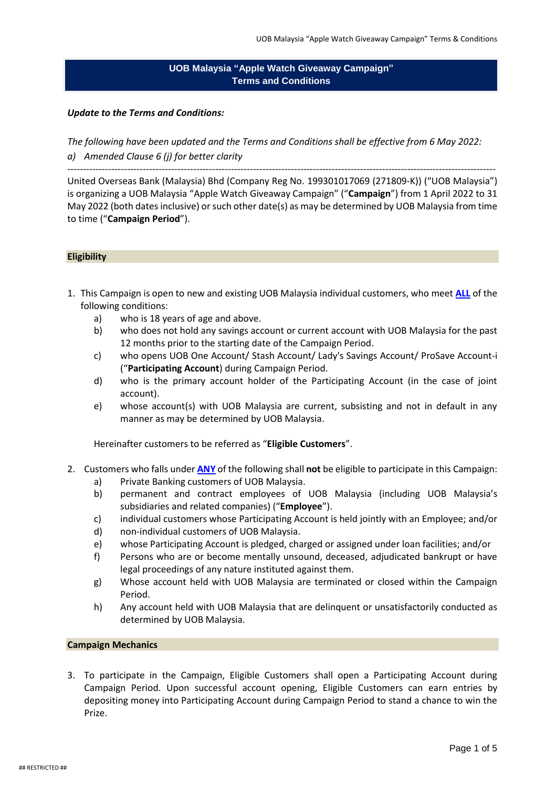# **UOB Malaysia "Apple Watch Giveaway Campaign" Terms and Conditions**

## *Update to the Terms and Conditions:*

*The following have been updated and the Terms and Conditions shall be effective from 6 May 2022: a) Amended Clause 6 (j) for better clarity*

----------------------------------------------------------------------------------------------------------------------------------------

United Overseas Bank (Malaysia) Bhd (Company Reg No. 199301017069 (271809-K)) ("UOB Malaysia") is organizing a UOB Malaysia "Apple Watch Giveaway Campaign" ("**Campaign**") from 1 April 2022 to 31 May 2022 (both datesinclusive) or such other date(s) as may be determined by UOB Malaysia from time to time ("**Campaign Period**").

## **Eligibility**

- 1. This Campaign is open to new and existing UOB Malaysia individual customers, who meet **ALL** of the following conditions:
	- a) who is 18 years of age and above.
	- b) who does not hold any savings account or current account with UOB Malaysia for the past 12 months prior to the starting date of the Campaign Period.
	- c) who opens UOB One Account/ Stash Account/ Lady's Savings Account/ ProSave Account-i ("**Participating Account**) during Campaign Period.
	- d) who is the primary account holder of the Participating Account (in the case of joint account).
	- e) whose account(s) with UOB Malaysia are current, subsisting and not in default in any manner as may be determined by UOB Malaysia.

Hereinafter customers to be referred as "**Eligible Customers**".

- 2. Customers who falls under **ANY** of the following shall **not** be eligible to participate in this Campaign:
	- a) Private Banking customers of UOB Malaysia.
	- b) permanent and contract employees of UOB Malaysia (including UOB Malaysia's subsidiaries and related companies) ("**Employee**").
	- c) individual customers whose Participating Account is held jointly with an Employee; and/or
	- d) non-individual customers of UOB Malaysia.
	- e) whose Participating Account is pledged, charged or assigned under loan facilities; and/or
	- f) Persons who are or become mentally unsound, deceased, adjudicated bankrupt or have legal proceedings of any nature instituted against them.
	- g) Whose account held with UOB Malaysia are terminated or closed within the Campaign Period.
	- h) Any account held with UOB Malaysia that are delinquent or unsatisfactorily conducted as determined by UOB Malaysia.

## **Campaign Mechanics**

3. To participate in the Campaign, Eligible Customers shall open a Participating Account during Campaign Period. Upon successful account opening, Eligible Customers can earn entries by depositing money into Participating Account during Campaign Period to stand a chance to win the Prize.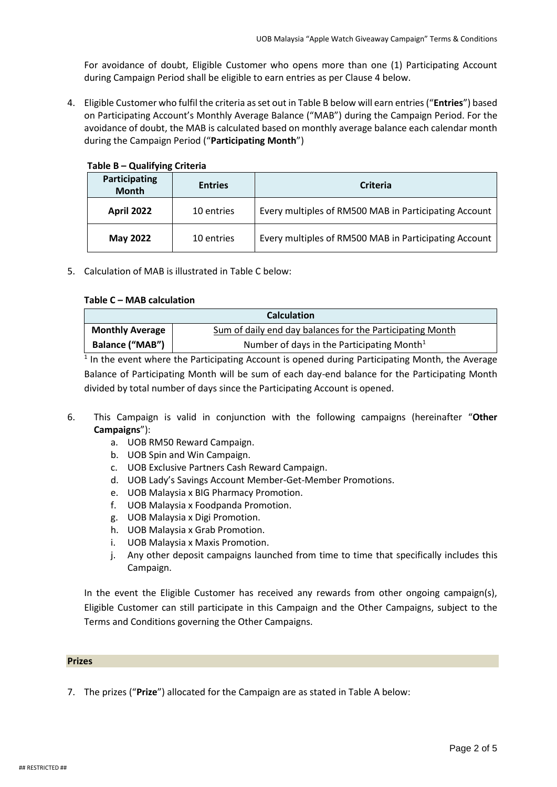For avoidance of doubt, Eligible Customer who opens more than one (1) Participating Account during Campaign Period shall be eligible to earn entries as per Clause 4 below.

4. Eligible Customer who fulfil the criteria as set out in Table B below will earn entries ("**Entries**") based on Participating Account's Monthly Average Balance ("MAB") during the Campaign Period. For the avoidance of doubt, the MAB is calculated based on monthly average balance each calendar month during the Campaign Period ("**Participating Month**")

| Participating<br><b>Month</b> | <b>Entries</b> | <b>Criteria</b>                                       |
|-------------------------------|----------------|-------------------------------------------------------|
| April 2022                    | 10 entries     | Every multiples of RM500 MAB in Participating Account |
| <b>May 2022</b>               | 10 entries     | Every multiples of RM500 MAB in Participating Account |

# **Table B – Qualifying Criteria**

5. Calculation of MAB is illustrated in Table C below:

## **Table C – MAB calculation**

| <b>Calculation</b>     |                                                           |  |  |
|------------------------|-----------------------------------------------------------|--|--|
| <b>Monthly Average</b> | Sum of daily end day balances for the Participating Month |  |  |
| Balance ("MAB")        | Number of days in the Participating Month <sup>1</sup>    |  |  |

<sup>1</sup> In the event where the Participating Account is opened during Participating Month, the Average Balance of Participating Month will be sum of each day-end balance for the Participating Month divided by total number of days since the Participating Account is opened.

- 6. This Campaign is valid in conjunction with the following campaigns (hereinafter "**Other Campaigns**"):
	- a. UOB RM50 Reward Campaign.
	- b. UOB Spin and Win Campaign.
	- c. UOB Exclusive Partners Cash Reward Campaign.
	- d. UOB Lady's Savings Account Member-Get-Member Promotions.
	- e. UOB Malaysia x BIG Pharmacy Promotion.
	- f. UOB Malaysia x Foodpanda Promotion.
	- g. UOB Malaysia x Digi Promotion.
	- h. UOB Malaysia x Grab Promotion.
	- i. UOB Malaysia x Maxis Promotion.
	- j. Any other deposit campaigns launched from time to time that specifically includes this Campaign.

In the event the Eligible Customer has received any rewards from other ongoing campaign(s), Eligible Customer can still participate in this Campaign and the Other Campaigns, subject to the Terms and Conditions governing the Other Campaigns.

### **Prizes**

7. The prizes ("**Prize**") allocated for the Campaign are as stated in Table A below: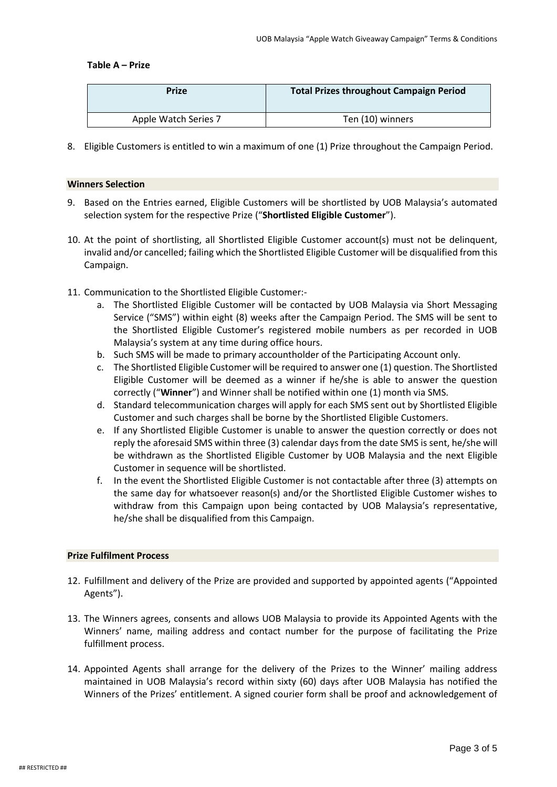### **Table A – Prize**

| Prize                | <b>Total Prizes throughout Campaign Period</b> |
|----------------------|------------------------------------------------|
| Apple Watch Series 7 | Ten (10) winners                               |

8. Eligible Customers is entitled to win a maximum of one (1) Prize throughout the Campaign Period.

#### **Winners Selection**

- 9. Based on the Entries earned, Eligible Customers will be shortlisted by UOB Malaysia's automated selection system for the respective Prize ("**Shortlisted Eligible Customer**").
- 10. At the point of shortlisting, all Shortlisted Eligible Customer account(s) must not be delinquent, invalid and/or cancelled; failing which the Shortlisted Eligible Customer will be disqualified from this Campaign.
- 11. Communication to the Shortlisted Eligible Customer:
	- a. The Shortlisted Eligible Customer will be contacted by UOB Malaysia via Short Messaging Service ("SMS") within eight (8) weeks after the Campaign Period. The SMS will be sent to the Shortlisted Eligible Customer's registered mobile numbers as per recorded in UOB Malaysia's system at any time during office hours.
	- b. Such SMS will be made to primary accountholder of the Participating Account only.
	- c. The Shortlisted Eligible Customer will be required to answer one (1) question. The Shortlisted Eligible Customer will be deemed as a winner if he/she is able to answer the question correctly ("**Winner**") and Winner shall be notified within one (1) month via SMS.
	- d. Standard telecommunication charges will apply for each SMS sent out by Shortlisted Eligible Customer and such charges shall be borne by the Shortlisted Eligible Customers.
	- e. If any Shortlisted Eligible Customer is unable to answer the question correctly or does not reply the aforesaid SMS within three (3) calendar days from the date SMS is sent, he/she will be withdrawn as the Shortlisted Eligible Customer by UOB Malaysia and the next Eligible Customer in sequence will be shortlisted.
	- f. In the event the Shortlisted Eligible Customer is not contactable after three (3) attempts on the same day for whatsoever reason(s) and/or the Shortlisted Eligible Customer wishes to withdraw from this Campaign upon being contacted by UOB Malaysia's representative, he/she shall be disqualified from this Campaign.

### **Prize Fulfilment Process**

- 12. Fulfillment and delivery of the Prize are provided and supported by appointed agents ("Appointed Agents").
- 13. The Winners agrees, consents and allows UOB Malaysia to provide its Appointed Agents with the Winners' name, mailing address and contact number for the purpose of facilitating the Prize fulfillment process.
- 14. Appointed Agents shall arrange for the delivery of the Prizes to the Winner' mailing address maintained in UOB Malaysia's record within sixty (60) days after UOB Malaysia has notified the Winners of the Prizes' entitlement. A signed courier form shall be proof and acknowledgement of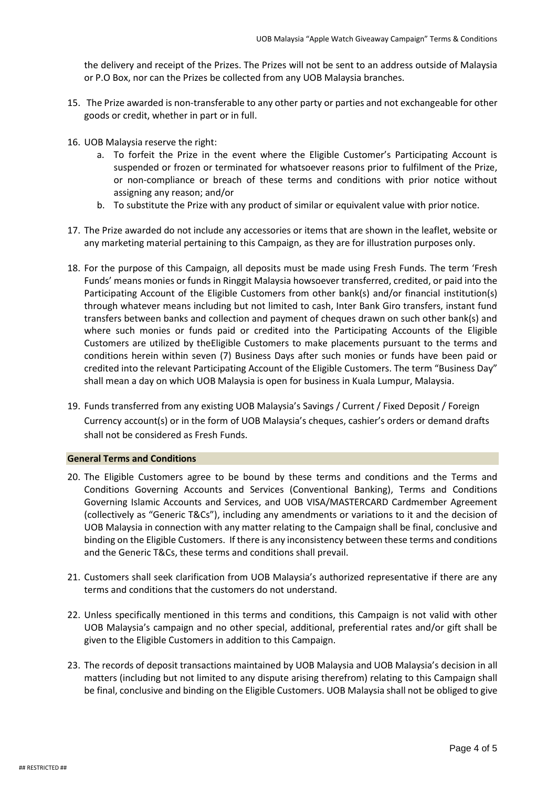the delivery and receipt of the Prizes. The Prizes will not be sent to an address outside of Malaysia or P.O Box, nor can the Prizes be collected from any UOB Malaysia branches.

- 15. The Prize awarded is non-transferable to any other party or parties and not exchangeable for other goods or credit, whether in part or in full.
- 16. UOB Malaysia reserve the right:
	- a. To forfeit the Prize in the event where the Eligible Customer's Participating Account is suspended or frozen or terminated for whatsoever reasons prior to fulfilment of the Prize, or non-compliance or breach of these terms and conditions with prior notice without assigning any reason; and/or
	- b. To substitute the Prize with any product of similar or equivalent value with prior notice.
- 17. The Prize awarded do not include any accessories or items that are shown in the leaflet, website or any marketing material pertaining to this Campaign, as they are for illustration purposes only.
- 18. For the purpose of this Campaign, all deposits must be made using Fresh Funds. The term 'Fresh Funds' means monies or funds in Ringgit Malaysia howsoever transferred, credited, or paid into the Participating Account of the Eligible Customers from other bank(s) and/or financial institution(s) through whatever means including but not limited to cash, Inter Bank Giro transfers, instant fund transfers between banks and collection and payment of cheques drawn on such other bank(s) and where such monies or funds paid or credited into the Participating Accounts of the Eligible Customers are utilized by theEligible Customers to make placements pursuant to the terms and conditions herein within seven (7) Business Days after such monies or funds have been paid or credited into the relevant Participating Account of the Eligible Customers. The term "Business Day" shall mean a day on which UOB Malaysia is open for business in Kuala Lumpur, Malaysia.
- 19. Funds transferred from any existing UOB Malaysia's Savings / Current / Fixed Deposit / Foreign Currency account(s) or in the form of UOB Malaysia's cheques, cashier's orders or demand drafts shall not be considered as Fresh Funds.

## **General Terms and Conditions**

- 20. The Eligible Customers agree to be bound by these terms and conditions and the Terms and Conditions Governing Accounts and Services (Conventional Banking), Terms and Conditions Governing Islamic Accounts and Services, and UOB VISA/MASTERCARD Cardmember Agreement (collectively as "Generic T&Cs"), including any amendments or variations to it and the decision of UOB Malaysia in connection with any matter relating to the Campaign shall be final, conclusive and binding on the Eligible Customers. If there is any inconsistency between these terms and conditions and the Generic T&Cs, these terms and conditions shall prevail.
- 21. Customers shall seek clarification from UOB Malaysia's authorized representative if there are any terms and conditions that the customers do not understand.
- 22. Unless specifically mentioned in this terms and conditions, this Campaign is not valid with other UOB Malaysia's campaign and no other special, additional, preferential rates and/or gift shall be given to the Eligible Customers in addition to this Campaign.
- 23. The records of deposit transactions maintained by UOB Malaysia and UOB Malaysia's decision in all matters (including but not limited to any dispute arising therefrom) relating to this Campaign shall be final, conclusive and binding on the Eligible Customers. UOB Malaysia shall not be obliged to give